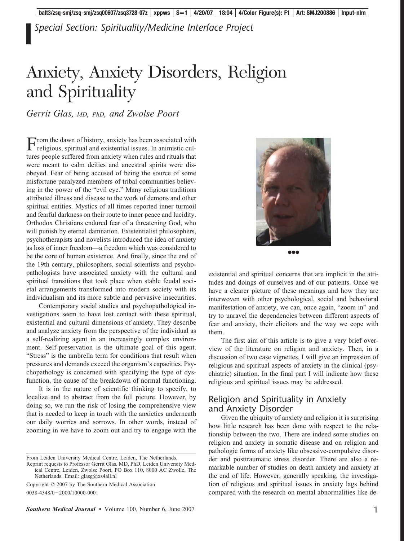*Special Section: Spirituality/Medicine Interface Project*

# Anxiety, Anxiety Disorders, Religion and Spirituality

*Gerrit Glas, MD, PhD, and Zwolse Poort*

From the dawn of history, anxiety has been associated with religious, spiritual and existential issues. In animistic cultures people suffered from anxiety when rules and rituals that were meant to calm deities and ancestral spirits were disobeyed. Fear of being accused of being the source of some misfortune paralyzed members of tribal communities believing in the power of the "evil eye." Many religious traditions attributed illness and disease to the work of demons and other spiritual entities. Mystics of all times reported inner turmoil and fearful darkness on their route to inner peace and lucidity. Orthodox Christians endured fear of a threatening God, who will punish by eternal damnation. Existentialist philosophers, psychotherapists and novelists introduced the idea of anxiety as loss of inner freedom—a freedom which was considered to be the core of human existence. And finally, since the end of the 19th century, philosophers, social scientists and psychopathologists have associated anxiety with the cultural and spiritual transitions that took place when stable feudal societal arrangements transformed into modern society with its individualism and its more subtle and pervasive insecurities.

Contemporary social studies and psychopathological investigations seem to have lost contact with these spiritual, existential and cultural dimensions of anxiety. They describe and analyze anxiety from the perspective of the individual as a self-realizing agent in an increasingly complex environment. Self-preservation is the ultimate goal of this agent. "Stress" is the umbrella term for conditions that result when pressures and demands exceed the organism's capacities. Psychopathology is concerned with specifying the type of dysfunction, the cause of the breakdown of normal functioning.

It is in the nature of scientific thinking to specify, to localize and to abstract from the full picture. However, by doing so, we run the risk of losing the comprehensive view that is needed to keep in touch with the anxieties underneath our daily worries and sorrows. In other words, instead of zooming in we have to zoom out and try to engage with the

From Leiden University Medical Centre, Leiden, The Netherlands.

Reprint requests to Professor Gerrit Glas, MD, PhD, Leiden University Medical Centre, Leiden, Zwolse Poort, PO Box 110, 8000 AC Zwolle, The Netherlands. Email: glasg@xs4all.nl

Copyright © 2007 by The Southern Medical Association 0038-4348/0-2000/10000-0001





existential and spiritual concerns that are implicit in the attitudes and doings of ourselves and of our patients. Once we have a clearer picture of these meanings and how they are interwoven with other psychological, social and behavioral manifestation of anxiety, we can, once again, "zoom in" and try to unravel the dependencies between different aspects of fear and anxiety, their elicitors and the way we cope with them.

The first aim of this article is to give a very brief overview of the literature on religion and anxiety. Then, in a discussion of two case vignettes, I will give an impression of religious and spiritual aspects of anxiety in the clinical (psychiatric) situation. In the final part I will indicate how these religious and spiritual issues may be addressed.

#### Religion and Spirituality in Anxiety and Anxiety Disorder

Given the ubiquity of anxiety and religion it is surprising how little research has been done with respect to the relationship between the two. There are indeed some studies on religion and anxiety in somatic disease and on religion and pathologic forms of anxiety like obsessive-compulsive disorder and posttraumatic stress disorder. There are also a remarkable number of studies on death anxiety and anxiety at the end of life. However, generally speaking, the investigation of religious and spiritual issues in anxiety lags behind compared with the research on mental abnormalities like de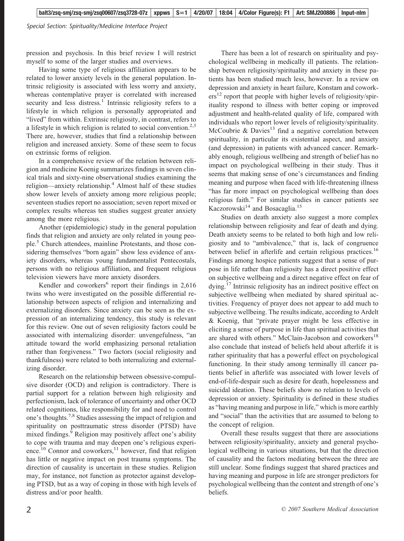*Special Section: Spirituality/Medicine Interface Project*

pression and psychosis. In this brief review I will restrict myself to some of the larger studies and overviews.

Having some type of religious affiliation appears to be related to lower anxiety levels in the general population. Intrinsic religiosity is associated with less worry and anxiety, whereas contemplative prayer is correlated with increased security and less distress.<sup>1</sup> Intrinsic religiosity refers to a lifestyle in which religion is personally appropriated and "lived" from within. Extrinsic religiosity, in contrast, refers to a lifestyle in which religion is related to social convention.<sup>2,3</sup> There are, however, studies that find a relationship between religion and increased anxiety. Some of these seem to focus on extrinsic forms of religion.

In a comprehensive review of the relation between religion and medicine Koenig summarizes findings in seven clinical trials and sixty-nine observational studies examining the religion—anxiety relationship.<sup>4</sup> Almost half of these studies show lower levels of anxiety among more religious people; seventeen studies report no association; seven report mixed or complex results whereas ten studies suggest greater anxiety among the more religious.

Another (epidemiologic) study in the general population finds that religion and anxiety are only related in young people.5 Church attendees, mainline Protestants, and those considering themselves "born again" show less evidence of anxiety disorders, whereas young fundamentalist Pentecostals, persons with no religious affiliation, and frequent religious television viewers have more anxiety disorders.

Kendler and coworkers<sup>6</sup> report their findings in  $2,616$ twins who were investigated on the possible differential relationship between aspects of religion and internalizing and externalizing disorders. Since anxiety can be seen as the expression of an internalizing tendency, this study is relevant for this review. One out of seven religiosity factors could be associated with internalizing disorder: unvengefulness, "an attitude toward the world emphasizing personal retaliation rather than forgiveness." Two factors (social religiosity and thankfulness) were related to both internalizing and externalizing disorder.

Research on the relationship between obsessive-compulsive disorder (OCD) and religion is contradictory. There is partial support for a relation between high religiosity and perfectionism, lack of tolerance of uncertainty and other OCD related cognitions, like responsibility for and need to control one's thoughts.<sup>7,8</sup> Studies assessing the impact of religion and spirituality on posttraumatic stress disorder (PTSD) have mixed findings.<sup>9</sup> Religion may positively affect one's ability to cope with trauma and may deepen one's religious experience.<sup>10</sup> Connor and coworkers,<sup>11</sup> however, find that religion has little or negative impact on post trauma symptoms. The direction of causality is uncertain in these studies. Religion may, for instance, not function as protector against developing PTSD, but as a way of coping in those with high levels of distress and/or poor health.

There has been a lot of research on spirituality and psychological wellbeing in medically ill patients. The relationship between religiosity/spirituality and anxiety in these patients has been studied much less, however. In a review on depression and anxiety in heart failure, Konstam and cowork $ers<sup>12</sup>$  report that people with higher levels of religiosity/spirituality respond to illness with better coping or improved adjustment and health-related quality of life, compared with individuals who report lower levels of religiosity/spirituality. McCoubrie & Davies<sup>13</sup> find a negative correlation between spirituality, in particular its existential aspect, and anxiety (and depression) in patients with advanced cancer. Remarkably enough, religious wellbeing and strength of belief has no impact on psychological wellbeing in their study. Thus it seems that making sense of one's circumstances and finding meaning and purpose when faced with life-threatening illness "has far more impact on psychological wellbeing than does religious faith." For similar studies in cancer patients see Kaczorowski $^{14}$  and Bosacaglia.<sup>15</sup>

Studies on death anxiety also suggest a more complex relationship between religiosity and fear of death and dying. Death anxiety seems to be related to both high and low religiosity and to "ambivalence," that is, lack of congruence between belief in afterlife and certain religious practices.<sup>16</sup> Findings among hospice patients suggest that a sense of purpose in life rather than religiosity has a direct positive effect on subjective wellbeing and a direct negative effect on fear of dying.<sup>17</sup> Intrinsic religiosity has an indirect positive effect on subjective wellbeing when mediated by shared spiritual activities. Frequency of prayer does not appear to add much to subjective wellbeing. The results indicate, according to Ardelt & Koenig, that "private prayer might be less effective in eliciting a sense of purpose in life than spiritual activities that are shared with others." McClain-Jacobson and coworkers<sup>18</sup> also conclude that instead of beliefs held about afterlife it is rather spirituality that has a powerful effect on psychological functioning. In their study among terminally ill cancer patients belief in afterlife was associated with lower levels of end-of-life-despair such as desire for death, hopelessness and suicidal ideation. These beliefs show no relation to levels of depression or anxiety. Spirituality is defined in these studies as "having meaning and purpose in life," which is more earthly and "social" than the activities that are assumed to belong to the concept of religion.

Overall these results suggest that there are associations between religiosity/spirituality, anxiety and general psychological wellbeing in various situations, but that the direction of causality and the factors mediating between the three are still unclear. Some findings suggest that shared practices and having meaning and purpose in life are stronger predictors for psychological wellbeing than the content and strength of one's beliefs.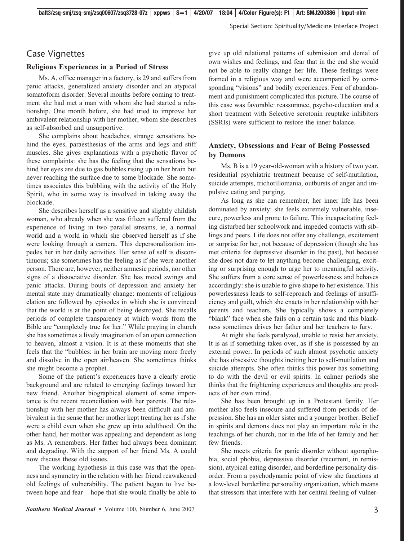#### Case Vignettes

#### **Religious Experiences in a Period of Stress**

Ms. A, office manager in a factory, is 29 and suffers from panic attacks, generalized anxiety disorder and an atypical somatoform disorder. Several months before coming to treatment she had met a man with whom she had started a relationship. One month before, she had tried to improve her ambivalent relationship with her mother, whom she describes as self-absorbed and unsupportive.

She complains about headaches, strange sensations behind the eyes, paraesthesias of the arms and legs and stiff muscles. She gives explanations with a psychotic flavor of these complaints: she has the feeling that the sensations behind her eyes are due to gas bubbles rising up in her brain but never reaching the surface due to some blockade. She sometimes associates this bubbling with the activity of the Holy Spirit, who in some way is involved in taking away the blockade.

She describes herself as a sensitive and slightly childish woman, who already when she was fifteen suffered from the experience of living in two parallel streams, ie, a normal world and a world in which she observed herself as if she were looking through a camera. This depersonalization impedes her in her daily activities. Her sense of self is discontinuous; she sometimes has the feeling as if she were another person. There are, however, neither amnesic periods, nor other signs of a dissociative disorder. She has mood swings and panic attacks. During bouts of depression and anxiety her mental state may dramatically change: moments of religious elation are followed by episodes in which she is convinced that the world is at the point of being destroyed. She recalls periods of complete transparency at which words from the Bible are "completely true for her." While praying in church she has sometimes a lively imagination of an open connection to heaven, almost a vision. It is at these moments that she feels that the "bubbles: in her brain are moving more freely and dissolve in the open air/heaven. She sometimes thinks she might become a prophet.

Some of the patient's experiences have a clearly erotic background and are related to emerging feelings toward her new friend. Another biographical element of some importance is the recent reconciliation with her parents. The relationship with her mother has always been difficult and ambivalent in the sense that her mother kept treating her as if she were a child even when she grew up into adulthood. On the other hand, her mother was appealing and dependent as long as Ms. A remembers. Her father had always been dominant and degrading. With the support of her friend Ms. A could now discuss these old issues.

The working hypothesis in this case was that the openness and symmetry in the relation with her friend reawakened old feelings of vulnerability. The patient began to live between hope and fear— hope that she would finally be able to give up old relational patterns of submission and denial of own wishes and feelings, and fear that in the end she would not be able to really change her life. These feelings were framed in a religious way and were accompanied by corresponding "visions" and bodily experiences. Fear of abandonment and punishment complicated this picture. The course of this case was favorable: reassurance, psycho-education and a short treatment with Selective serotonin reuptake inhibitors (SSRIs) were sufficient to restore the inner balance.

#### **Anxiety, Obsessions and Fear of Being Possessed by Demons**

Ms. B is a 19 year-old-woman with a history of two year, residential psychiatric treatment because of self-mutilation, suicide attempts, trichotillomania, outbursts of anger and impulsive eating and purging.

As long as she can remember, her inner life has been dominated by anxiety: she feels extremely vulnerable, insecure, powerless and prone to failure. This incapacitating feeling disturbed her schoolwork and impeded contacts with siblings and peers. Life does not offer any challenge, excitement or surprise for her, not because of depression (though she has met criteria for depressive disorder in the past), but because she does not dare to let anything become challenging, exciting or surprising enough to urge her to meaningful activity. She suffers from a core sense of powerlessness and behaves accordingly: she is unable to give shape to her existence. This powerlessness leads to self-reproach and feelings of insufficiency and guilt, which she enacts in her relationship with her parents and teachers. She typically shows a completely "blank" face when she fails on a certain task and this blankness sometimes drives her father and her teachers to fury.

At night she feels paralyzed, unable to resist her anxiety. It is as if something takes over, as if she is possessed by an external power. In periods of such almost psychotic anxiety she has obsessive thoughts inciting her to self-mutilation and suicide attempts. She often thinks this power has something to do with the devil or evil spirits. In calmer periods she thinks that the frightening experiences and thoughts are products of her own mind.

She has been brought up in a Protestant family. Her mother also feels insecure and suffered from periods of depression. She has an older sister and a younger brother. Belief in spirits and demons does not play an important role in the teachings of her church, nor in the life of her family and her few friends.

She meets criteria for panic disorder without agoraphobia, social phobia, depressive disorder (recurrent, in remission), atypical eating disorder, and borderline personality disorder. From a psychodynamic point of view she functions at a low-level borderline personality organization, which means that stressors that interfere with her central feeling of vulner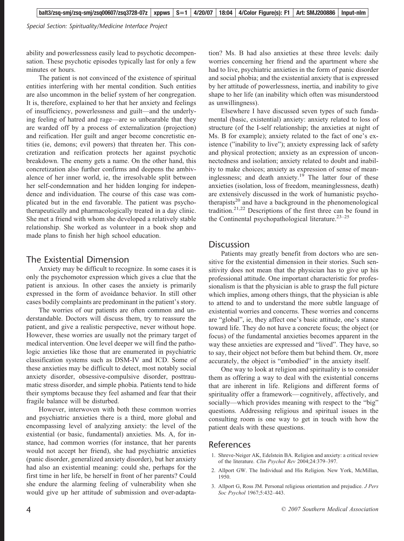*Special Section: Spirituality/Medicine Interface Project*

ability and powerlessness easily lead to psychotic decompensation. These psychotic episodes typically last for only a few minutes or hours.

The patient is not convinced of the existence of spiritual entities interfering with her mental condition. Such entities are also uncommon in the belief system of her congregation. It is, therefore, explained to her that her anxiety and feelings of insufficiency, powerlessness and guilt—and the underlying feeling of hatred and rage—are so unbearable that they are warded off by a process of externalization (projection) and reification. Her guilt and anger become concretistic entities (ie, demons; evil powers) that threaten her. This concretization and reification protects her against psychotic breakdown. The enemy gets a name. On the other hand, this concretization also further confirms and deepens the ambivalence of her inner world, ie, the irresolvable split between her self-condemnation and her hidden longing for independence and individuation. The course of this case was complicated but in the end favorable. The patient was psychotherapeutically and pharmacologically treated in a day clinic. She met a friend with whom she developed a relatively stable relationship. She worked as volunteer in a book shop and made plans to finish her high school education.

#### The Existential Dimension

Anxiety may be difficult to recognize. In some cases it is only the psychomotor expression which gives a clue that the patient is anxious. In other cases the anxiety is primarily expressed in the form of avoidance behavior. In still other cases bodily complaints are predominant in the patient's story.

The worries of our patients are often common and understandable. Doctors will discuss them, try to reassure the patient, and give a realistic perspective, never without hope. However, these worries are usually not the primary target of medical intervention. One level deeper we will find the pathologic anxieties like those that are enumerated in psychiatric classification systems such as DSM-IV and ICD. Some of these anxieties may be difficult to detect, most notably social anxiety disorder, obsessive-compulsive disorder, posttraumatic stress disorder, and simple phobia. Patients tend to hide their symptoms because they feel ashamed and fear that their fragile balance will be disturbed.

However, interwoven with both these common worries and psychiatric anxieties there is a third, more global and encompassing level of analyzing anxiety: the level of the existential (or basic, fundamental) anxieties. Ms. A, for instance, had common worries (for instance, that her parents would not accept her friend), she had psychiatric anxieties (panic disorder, generalized anxiety disorder), but her anxiety had also an existential meaning: could she, perhaps for the first time in her life, be herself in front of her parents? Could she endure the alarming feeling of vulnerability when she would give up her attitude of submission and over-adaptation? Ms. B had also anxieties at these three levels: daily worries concerning her friend and the apartment where she had to live, psychiatric anxieties in the form of panic disorder and social phobia; and the existential anxiety that is expressed by her attitude of powerlessness, inertia, and inability to give shape to her life (an inability which often was misunderstood as unwillingness).

Elsewhere I have discussed seven types of such fundamental (basic, existential) anxiety: anxiety related to loss of structure (of the I-self relationship; the anxieties at night of Ms. B for example); anxiety related to the fact of one's existence ("inability to live"); anxiety expressing lack of safety and physical protection; anxiety as an expression of unconnectedness and isolation; anxiety related to doubt and inability to make choices; anxiety as expression of sense of meaninglessness; and death anxiety. $19$  The latter four of these anxieties (isolation, loss of freedom, meaninglessness, death) are extensively discussed in the work of humanistic psychotherapists<sup>20</sup> and have a background in the phenomenological tradition.<sup>21,22</sup> Descriptions of the first three can be found in the Continental psychopathological literature. $23-25$ 

#### **Discussion**

Patients may greatly benefit from doctors who are sensitive for the existential dimension in their stories. Such sensitivity does not mean that the physician has to give up his professional attitude. One important characteristic for professionalism is that the physician is able to grasp the full picture which implies, among others things, that the physician is able to attend to and to understand the more subtle language of existential worries and concerns. These worries and concerns are "global", ie, they affect one's basic attitude, one's stance toward life. They do not have a concrete focus; the object (or focus) of the fundamental anxieties becomes apparent in the way these anxieties are expressed and "lived". They have, so to say, their object not before them but behind them. Or, more accurately, the object is "embodied" in the anxiety itself.

One way to look at religion and spirituality is to consider them as offering a way to deal with the existential concerns that are inherent in life. Religions and different forms of spirituality offer a framework— cognitively, affectively, and socially—which provides meaning with respect to the "big" questions. Addressing religious and spiritual issues in the consulting room is one way to get in touch with how the patient deals with these questions.

#### References

- 1. Shreve-Neiger AK, Edelstein BA. Religion and anxiety: a critical review of the literature. *Clin Psychol Rev* 2004;24:379–397.
- 2. Allport GW. The Individual and His Religion. New York, McMillan, 1950.
- 3. Allport G, Ross JM. Personal religious orientation and prejudice. *J Pers Soc Psychol* 1967;5:432–443.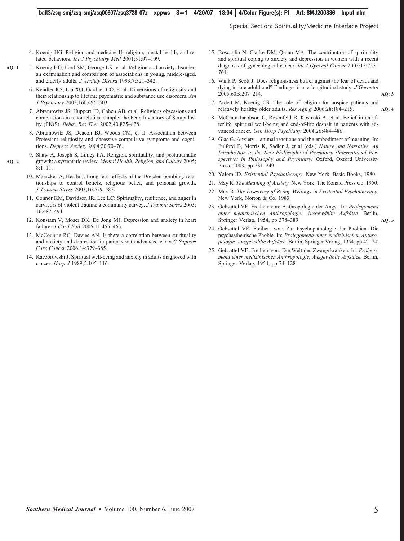#### **balt3/zsq-smj/zsq-smj/zsq00607/zsq3728-07z** | xppws | S=1 | 4/20/07 | 18:04 | 4/Color Figure(s): F1 | Art: SMJ200886 | Input-nlm

Special Section: Spirituality/Medicine Interface Project

- 4. Koenig HG. Religion and medicine II: religion, mental health, and related behaviors. *Int J Psychiatry Med* 2001;31:97–109.
- 5. Koenig HG, Ford SM, George LK, et al. Religion and anxiety disorder: an examination and comparison of associations in young, middle-aged, and elderly adults. *J Anxiety Disord* 1993;7:321–342. **AQ: 1**
	- 6. Kendler KS, Liu XQ, Gardner CO, et al. Dimensions of religiosity and their relationship to lifetime psychiatric and substance use disorders. *Am J Psychiatry* 2003;160:496–503.
	- 7. Abramowitz JS, Huppert JD, Cohen AB, et al. Religious obsessions and compulsions in a non-clinical sample: the Penn Inventory of Scrupulosity (PIOS). *Behav Res Ther* 2002;40:825–838.
	- 8. Abramowitz JS, Deacon BJ, Woods CM, et al. Association between Protestant religiosity and obsessive-compulsive symptoms and cognitions. *Depress Anxiety* 2004;20:70–76.
	- 9. Shaw A, Joseph S, Linley PA. Religion, spirituality, and posttraumatic growth: a systematic review. *Mental Health, Religion, and Culture* 2005;  $8:1-11.$ 
		- 10. Maercker A, Herrle J. Long-term effects of the Dresden bombing: relationships to control beliefs, religious belief, and personal growth. *J Trauma Stress* 2003;16:579–587.
		- 11. Connor KM, Davidson JR, Lee LC: Spirituality, resilience, and anger in survivors of violent trauma: a community survey. *J Trauma Stress* 2003: 16:487–494.
		- 12. Konstam V, Moser DK, De Jong MJ. Depression and anxiety in heart failure. *J Card Fail* 2005;11:455–463.
		- 13. McCoubrie RC, Davies AN. Is there a correlation between spirituality and anxiety and depression in patients with advanced cancer? *Support Care Cancer* 2006;14:379–385.
		- 14. Kaczorowski J. Spiritual well-being and anxiety in adults diagnosed with cancer. *Hosp J* 1989;5:105–116.
- 15. Boscaglia N, Clarke DM, Quinn MA. The contribution of spirituality and spiritual coping to anxiety and depression in women with a recent diagnosis of gynecological cancer. *Int J Gynecol Cancer* 2005;15:755– 761.
- 16. Wink P, Scott J. Does religiousness buffer against the fear of death and dying in late adulthood? Findings from a longitudinal study. *J Gerontol* 2005;60B:207–214. **AQ: 3**
- 17. Ardelt M, Koenig CS. The role of religion for hospice patients and relatively healthy older adults. *Res Aging* 2006;28:184–215. **AQ: 4**
- 18. McClain-Jacobson C, Rosenfeld B, Kosinski A, et al. Belief in an afterlife, spiritual well-being and end-of-life despair in patients with advanced cancer. *Gen Hosp Psychiatry* 2004;26:484–486.
- 19. Glas G. Anxiety animal reactions and the embodiment of meaning. In: Fulford B, Morris K, Sadler J, et al (eds.) *Nature and Narrative. An Introduction to the New Philosophy of Psychiatry (International Perspectives in Philosophy and Psychiatry)* Oxford, Oxford University Press, 2003, pp 231–249.
- 20. Yalom ID. *Existential Psychotherapy.* New York, Basic Books, 1980.
- 21. May R. *The Meaning of Anxiety.* New York, The Ronald Press Co, 1950.
- 22. May R. *The Discovery of Being. Writings in Existential Psychotherapy.* New York, Norton & Co, 1983.
- 23. Gebsattel VE. Freiherr von: Anthropologie der Angst. In: *Prolegomena einer medizinischen Anthropologie. Ausgewa¨hlte Aufsa¨tze.* Berlin, Springer Verlag, 1954, pp 378–389. **AQ: 5**
- 24. Gebsattel VE. Freiherr von: Zur Psychopathologie der Phobien. Die psychasthenische Phobie. In: *Prolegomena einer medizinischen Anthropologie. Ausgewa¨hlte Aufsa¨tze.* Berlin, Springer Verlag, 1954, pp 42–74.
- 25. Gebsattel VE. Freiherr von: Die Welt des Zwangskranken. In: *Prolegomena einer medizinischen Anthropologie. Ausgewa¨hlte Aufsa¨tze.* Berlin, Springer Verlag, 1954, pp 74–128.

**AQ: 2**